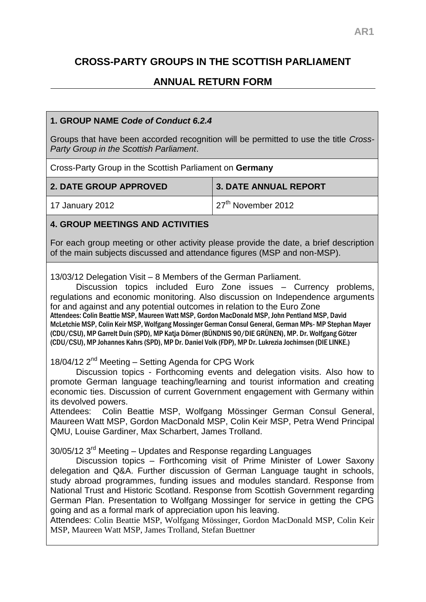# **CROSS-PARTY GROUPS IN THE SCOTTISH PARLIAMENT**

## **ANNUAL RETURN FORM**

#### **1. GROUP NAME** *Code of Conduct 6.2.4*

Groups that have been accorded recognition will be permitted to use the title *Cross-Party Group in the Scottish Parliament*.

Cross-Party Group in the Scottish Parliament on **Germany**

| <b>2. DATE GROUP APPROVED</b> | 3. DATE ANNUAL REPORT          |
|-------------------------------|--------------------------------|
| 17 January 2012               | $\sqrt{27^{th}}$ November 2012 |

#### **4. GROUP MEETINGS AND ACTIVITIES**

For each group meeting or other activity please provide the date, a brief description of the main subjects discussed and attendance figures (MSP and non-MSP).

13/03/12 Delegation Visit – 8 Members of the German Parliament.

Discussion topics included Euro Zone issues – Currency problems, regulations and economic monitoring. Also discussion on Independence arguments for and against and any potential outcomes in relation to the Euro Zone Attendees: Colin Beattie MSP, Maureen Watt MSP, Gordon MacDonald MSP, John Pentland MSP, David McLetchie MSP, Colin Keir MSP, Wolfgang Mossinger German Consul General, German MPs- MP Stephan Mayer (CDU/CSU), MP Garrelt Duin (SPD), MP Katja Dörner (BÜNDNIS 90/DIE GRÜNEN), MP. Dr. Wolfgang Götzer (CDU/CSU), MP Johannes Kahrs (SPD), MP Dr. Daniel Volk (FDP), MP Dr. Lukrezia Jochimsen (DIE LINKE.)

18/04/12 2<sup>nd</sup> Meeting – Setting Agenda for CPG Work

Discussion topics - Forthcoming events and delegation visits. Also how to promote German language teaching/learning and tourist information and creating economic ties. Discussion of current Government engagement with Germany within its devolved powers.

Attendees: Colin Beattie MSP, Wolfgang Mössinger German Consul General, Maureen Watt MSP, Gordon MacDonald MSP, Colin Keir MSP, Petra Wend Principal QMU, Louise Gardiner, Max Scharbert, James Trolland.

 $30/05/12$  3<sup>rd</sup> Meeting – Updates and Response regarding Languages

Discussion topics – Forthcoming visit of Prime Minister of Lower Saxony delegation and Q&A. Further discussion of German Language taught in schools, study abroad programmes, funding issues and modules standard. Response from National Trust and Historic Scotland. Response from Scottish Government regarding German Plan. Presentation to Wolfgang Mossinger for service in getting the CPG going and as a formal mark of appreciation upon his leaving.

Attendees: Colin Beattie MSP, Wolfgang Mössinger, Gordon MacDonald MSP, Colin Keir MSP, Maureen Watt MSP, James Trolland, Stefan Buettner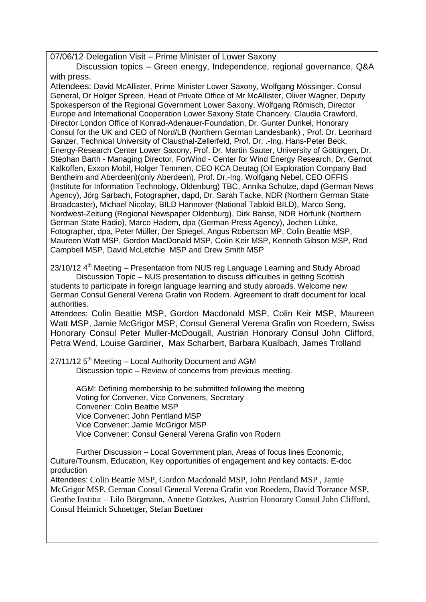07/06/12 Delegation Visit – Prime Minister of Lower Saxony

Discussion topics – Green energy, Independence, regional governance, Q&A with press.

Attendees: David McAllister, Prime Minister Lower Saxony, Wolfgang Mössinger, Consul General, Dr Holger Spreen, Head of Private Office of Mr McAllister, Oliver Wagner, Deputy Spokesperson of the Regional Government Lower Saxony, Wolfgang Römisch, Director Europe and International Cooperation Lower Saxony State Chancery, Claudia Crawford, Director London Office of Konrad-Adenauer-Foundation, Dr. Gunter Dunkel, Honorary Consul for the UK and CEO of Nord/LB (Northern German Landesbank) , Prof. Dr. Leonhard Ganzer, Technical University of Clausthal-Zellerfeld, Prof. Dr. .-Ing. Hans-Peter Beck, Energy-Research Center Lower Saxony, Prof. Dr. Martin Sauter, University of Göttingen, Dr. Stephan Barth - Managing Director, ForWind - Center for Wind Energy Research, Dr. Gernot Kalkoffen, Exxon Mobil, Holger Temmen, CEO KCA Deutag (Oil Exploration Company Bad Bentheim and Aberdeen)(only Aberdeen), Prof. Dr.-Ing. Wolfgang Nebel, CEO OFFIS (Institute for Information Technology, Oldenburg) TBC, Annika Schulze, dapd (German News Agency), Jörg Sarbach, Fotographer, dapd, Dr. Sarah Tacke, NDR (Northern German State Broadcaster), Michael Nicolay, BILD Hannover (National Tabloid BILD), Marco Seng, Nordwest-Zeitung (Regional Newspaper Oldenburg), Dirk Banse, NDR Hörfunk (Northern German State Radio), Marco Hadem, dpa (German Press Agency), Jochen Lübke, Fotographer, dpa, Peter Müller, Der Spiegel, Angus Robertson MP, Colin Beattie MSP, Maureen Watt MSP, Gordon MacDonald MSP, Colin Keir MSP, Kenneth Gibson MSP, Rod Campbell MSP, David McLetchie MSP and Drew Smith MSP

 $23/10/12$  4<sup>th</sup> Meeting – Presentation from NUS reg Language Learning and Study Abroad Discussion Topic – NUS presentation to discuss difficulties in getting Scottish students to participate in foreign language learning and study abroads. Welcome new German Consul General Verena Grafin von Rodern. Agreement to draft document for local authorities.

Attendees: Colin Beattie MSP, Gordon Macdonald MSP, Colin Keir MSP, Maureen Watt MSP, Jamie McGrigor MSP, Consul General Verena Grafin von Roedern, Swiss Honorary Consul Peter Muller-McDougall, Austrian Honorary Consul John Clifford, Petra Wend, Louise Gardiner, Max Scharbert, Barbara Kualbach, James Trolland

 $27/11/12$  5<sup>th</sup> Meeting – Local Authority Document and AGM Discussion topic – Review of concerns from previous meeting.

> AGM: Defining membership to be submitted following the meeting Voting for Convener, Vice Conveners, Secretary Convener: Colin Beattie MSP Vice Convener: John Pentland MSP Vice Convener: Jamie McGrigor MSP Vice Convener: Consul General Verena Grafin von Rodern

Further Discussion – Local Government plan. Areas of focus lines Economic, Culture/Tourism, Education, Key opportunities of engagement and key contacts. E-doc production

Attendees: Colin Beattie MSP, Gordon Macdonald MSP, John Pentland MSP , Jamie McGrigor MSP, German Consul General Verena Grafin von Roedern, David Torrance MSP, Geothe Institut – Lilo Börgmann, Annette Gotzkes, Austrian Honorary Consul John Clifford, Consul Heinrich Schnettger, Stefan Buettner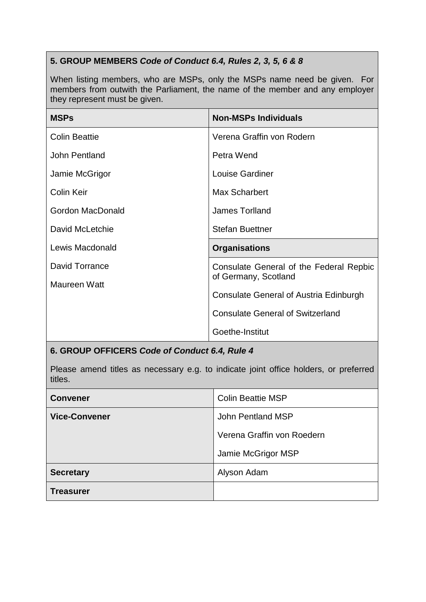### **5. GROUP MEMBERS** *Code of Conduct 6.4, Rules 2, 3, 5, 6 & 8*

When listing members, who are MSPs, only the MSPs name need be given. For members from outwith the Parliament, the name of the member and any employer they represent must be given.

| <b>MSPs</b>          | <b>Non-MSPs Individuals</b>             |
|----------------------|-----------------------------------------|
| <b>Colin Beattie</b> | Verena Graffin von Rodern               |
| John Pentland        | Petra Wend                              |
| Jamie McGrigor       | Louise Gardiner                         |
| Colin Keir           | <b>Max Scharbert</b>                    |
| Gordon MacDonald     | <b>James Torlland</b>                   |
| David McLetchie      | <b>Stefan Buettner</b>                  |
| Lewis Macdonald      | <b>Organisations</b>                    |
| David Torrance       | Consulate General of the Federal Repbic |
| Maureen Watt         | of Germany, Scotland                    |
|                      | Consulate General of Austria Edinburgh  |
|                      | <b>Consulate General of Switzerland</b> |
|                      | Goethe-Institut                         |

### **6. GROUP OFFICERS** *Code of Conduct 6.4, Rule 4*

Please amend titles as necessary e.g. to indicate joint office holders, or preferred titles.

| <b>Convener</b>      | <b>Colin Beattie MSP</b>   |
|----------------------|----------------------------|
| <b>Vice-Convener</b> | John Pentland MSP          |
|                      | Verena Graffin von Roedern |
|                      | Jamie McGrigor MSP         |
| <b>Secretary</b>     | Alyson Adam                |
| Treasurer            |                            |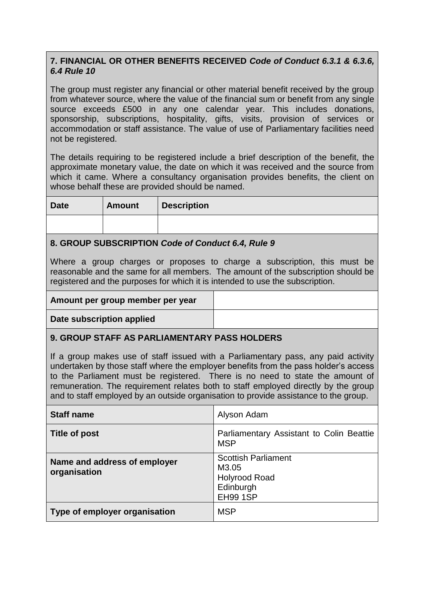### **7. FINANCIAL OR OTHER BENEFITS RECEIVED** *Code of Conduct 6.3.1 & 6.3.6, 6.4 Rule 10*

The group must register any financial or other material benefit received by the group from whatever source, where the value of the financial sum or benefit from any single source exceeds £500 in any one calendar year. This includes donations, sponsorship, subscriptions, hospitality, gifts, visits, provision of services or accommodation or staff assistance. The value of use of Parliamentary facilities need not be registered.

The details requiring to be registered include a brief description of the benefit, the approximate monetary value, the date on which it was received and the source from which it came. Where a consultancy organisation provides benefits, the client on whose behalf these are provided should be named.

| <b>Date</b><br><b>Amount</b> | <b>Description</b> |  |
|------------------------------|--------------------|--|
|                              |                    |  |

#### **8. GROUP SUBSCRIPTION** *Code of Conduct 6.4, Rule 9*

Where a group charges or proposes to charge a subscription, this must be reasonable and the same for all members. The amount of the subscription should be registered and the purposes for which it is intended to use the subscription.

| Amount per group member per year |  |
|----------------------------------|--|
|----------------------------------|--|

**Date subscription applied**

### **9. GROUP STAFF AS PARLIAMENTARY PASS HOLDERS**

If a group makes use of staff issued with a Parliamentary pass, any paid activity undertaken by those staff where the employer benefits from the pass holder's access to the Parliament must be registered. There is no need to state the amount of remuneration. The requirement relates both to staff employed directly by the group and to staff employed by an outside organisation to provide assistance to the group.

| <b>Staff name</b>                            | Alyson Adam                                                                                 |
|----------------------------------------------|---------------------------------------------------------------------------------------------|
| Title of post                                | Parliamentary Assistant to Colin Beattie<br><b>MSP</b>                                      |
| Name and address of employer<br>organisation | <b>Scottish Parliament</b><br>M3.05<br><b>Holyrood Road</b><br>Edinburgh<br><b>EH99 1SP</b> |
| Type of employer organisation                | <b>MSP</b>                                                                                  |